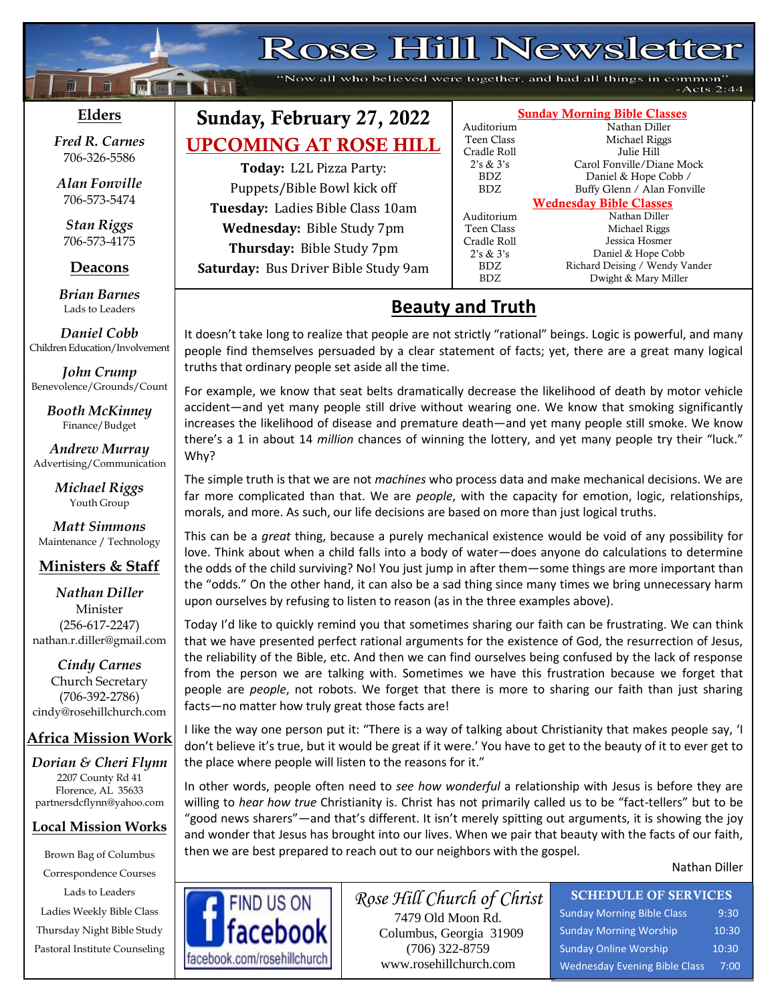# Rose Hill Newsletter

"Now all who believed were together, and had all things in common"  $-Acts 2:44$ 

### **Elders**

**;30Ma\*``**

**Following Nilsi** 

*Fred R. Carnes* 706-326-5586

*Alan Fonville* 706-573-5474

*Stan Riggs* 706-573-4175

### **Deacons**

**;**  *Brian Barnes* Lads to Leaders

*Daniel Cobb* Children Education/Involvement

*John Crump* Benevolence/Grounds/Count

> *Booth McKinney* Finance/Budget

*Andrew Murray* Advertising/Communication

> *Michael Riggs* Youth Group

*Matt Simmons* Maintenance / Technology

### **Ministers & Staff**

#### *Nathan Diller* Minister (256-617-2247) nathan.r.diller@gmail.com

*Cindy Carnes* Church Secretary (706-392-2786) cindy@rosehillchurch.com

### **Africa Mission Work**

*Dorian & Cheri Flynn* 2207 County Rd 41 Florence, AL 35633 [partnersdcflynn@yahoo.com](mailto:partnersdcflynn@yahoo.com)

#### **Local Mission Works**

Brown Bag of Columbus Correspondence Courses Lads to Leaders Ladies Weekly Bible Class Thursday Night Bible Study Pastoral Institute Counseling

## Sunday, February 27, 2022 UPCOMING AT ROSE HILL

**Today:** L2L Pizza Party: Puppets/Bible Bowl kick off **Tuesday:** Ladies Bible Class 10am **Wednesday:** Bible Study 7pm **Thursday:** Bible Study 7pm **Saturday:** Bus Driver Bible Study 9am

#### Sunday Morning Bible Classes Auditorium Nathan Diller Teen Class Michael Riggs Cradle Roll Julie Hill 2's & 3's Carol Fonville/Diane Mock

BDZ Daniel & Hope Cobb / BDZ Buffy Glenn / Alan Fonville Wednesday Bible Classes

Auditorium Nathan Diller Teen Class Michael Riggs Cradle Roll Jessica Hosmer 2's & 3's Daniel & Hope Cobb BDZ Richard Deising / Wendy Vander<br>BDZ Dwight & Mary Miller Dwight & Mary Miller

# **Beauty and Truth**

It doesn't take long to realize that people are not strictly "rational" beings. Logic is powerful, and many people find themselves persuaded by a clear statement of facts; yet, there are a great many logical truths that ordinary people set aside all the time.

For example, we know that seat belts dramatically decrease the likelihood of death by motor vehicle accident—and yet many people still drive without wearing one. We know that smoking significantly increases the likelihood of disease and premature death—and yet many people still smoke. We know there's a 1 in about 14 *million* chances of winning the lottery, and yet many people try their "luck." Why?

The simple truth is that we are not *machines* who process data and make mechanical decisions. We are far more complicated than that. We are *people*, with the capacity for emotion, logic, relationships, morals, and more. As such, our life decisions are based on more than just logical truths.

This can be a *great* thing, because a purely mechanical existence would be void of any possibility for love. Think about when a child falls into a body of water—does anyone do calculations to determine the odds of the child surviving? No! You just jump in after them—some things are more important than the "odds." On the other hand, it can also be a sad thing since many times we bring unnecessary harm upon ourselves by refusing to listen to reason (as in the three examples above).

Today I'd like to quickly remind you that sometimes sharing our faith can be frustrating. We can think that we have presented perfect rational arguments for the existence of God, the resurrection of Jesus, the reliability of the Bible, etc. And then we can find ourselves being confused by the lack of response from the person we are talking with. Sometimes we have this frustration because we forget that people are *people*, not robots. We forget that there is more to sharing our faith than just sharing facts—no matter how truly great those facts are!

I like the way one person put it: "There is a way of talking about Christianity that makes people say, 'I don't believe it's true, but it would be great if it were.' You have to get to the beauty of it to ever get to the place where people will listen to the reasons for it."

In other words, people often need to *see how wonderful* a relationship with Jesus is before they are willing to *hear how true* Christianity is. Christ has not primarily called us to be "fact-tellers" but to be "good news sharers"—and that's different. It isn't merely spitting out arguments, it is showing the joy and wonder that Jesus has brought into our lives. When we pair that beauty with the facts of our faith, then we are best prepared to reach out to our neighbors with the gospel.

Nathan Diller



*Rose Hill Church of Christ* 7479 Old Moon Rd. Columbus, Georgia 31909 (706) 322-8759 www.rosehillchurch.com

SCHEDULE OF SERVICES Sunday Morning Bible Class 9:30 Sunday Morning Worship 10:30 Sunday Online Worship 10:30 Wednesday Evening Bible Class 7:00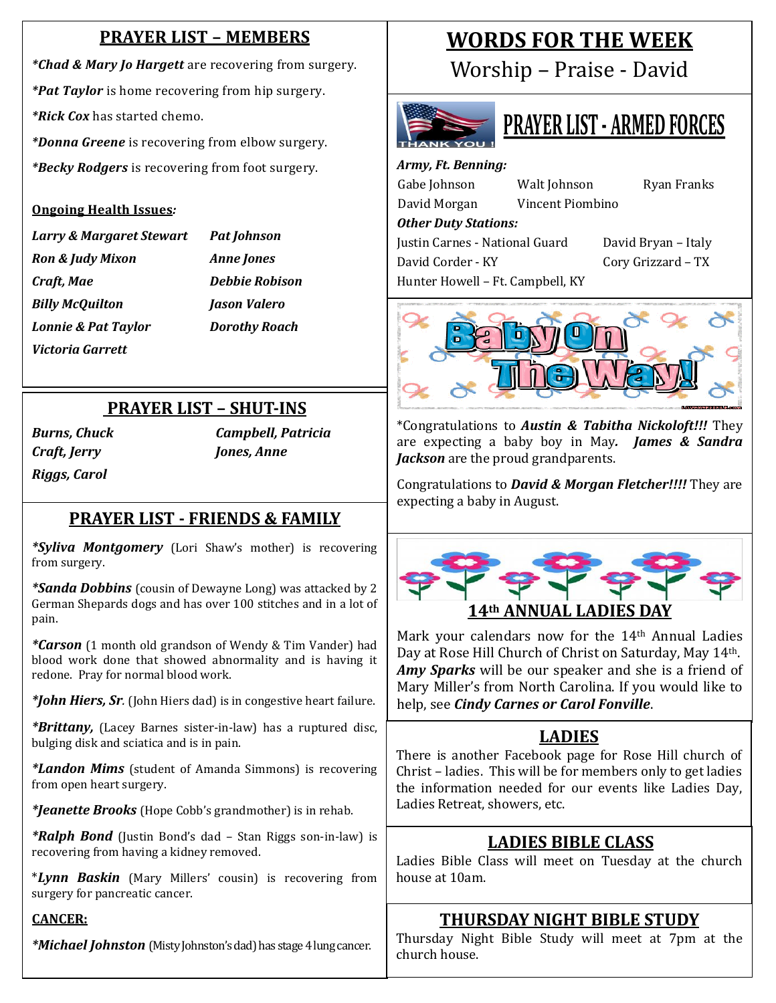### **PRAYER LIST – MEMBERS**

*\*Chad & Mary Jo Hargett* are recovering from surgery. *\*Pat Taylor* is home recovering from hip surgery. *\*Rick Cox* has started chemo.

*\*Donna Greene* is recovering from elbow surgery. *\*Becky Rodgers* is recovering from foot surgery.

#### **Ongoing Health Issues***:*

*Larry & Margaret Stewart Pat Johnson Ron & Judy Mixon Anne Jones Craft, Mae Debbie Robison Billy McQuilton Jason Valero Lonnie & Pat Taylor Dorothy Roach Victoria Garrett*

### **PRAYER LIST – SHUT-INS**

*Craft, Jerry Jones, Anne Riggs, Carol*

*Burns, Chuck Campbell, Patricia*

### **PRAYER LIST - FRIENDS & FAMILY**

*\*Syliva Montgomery* (Lori Shaw's mother) is recovering from surgery.

*\*Sanda Dobbins* (cousin of Dewayne Long) was attacked by 2 German Shepards dogs and has over 100 stitches and in a lot of pain.

*\*Carson* (1 month old grandson of Wendy & Tim Vander) had blood work done that showed abnormality and is having it redone. Pray for normal blood work.

*\*John Hiers, Sr.* (John Hiers dad) is in congestive heart failure.

*\*Brittany,* (Lacey Barnes sister-in-law) has a ruptured disc, bulging disk and sciatica and is in pain.

*\*Landon Mims* (student of Amanda Simmons) is recovering from open heart surgery.

*\*Jeanette Brooks* (Hope Cobb's grandmother) is in rehab.

*\*Ralph Bond* (Justin Bond's dad – Stan Riggs son-in-law) is recovering from having a kidney removed.

\**Lynn Baskin* (Mary Millers' cousin) is recovering from surgery for pancreatic cancer.

### **CANCER:**

*\*Michael Johnston* (Misty Johnston's dad) has stage 4 lung cancer.

# **WORDS FOR THE WEEK**

Worship – Praise - David



# **PRAYER LIST - ARMED FORCES**

*Army, Ft. Benning:* Gabe Johnson Walt Johnson Ryan Franks David Morgan Vincent Piombino *Other Duty Stations:* Justin Carnes - National Guard David Bryan – Italy David Corder - KY Cory Grizzard – TX Hunter Howell – Ft. Campbell, KY



\*Congratulations to *Austin & Tabitha Nickoloft!!!* They are expecting a baby boy in May*. James & Sandra Jackson* are the proud grandparents.

Congratulations to *David & Morgan Fletcher!!!!* They are expecting a baby in August.



Mark your calendars now for the 14<sup>th</sup> Annual Ladies Day at Rose Hill Church of Christ on Saturday, May 14th. *Amy Sparks* will be our speaker and she is a friend of Mary Miller's from North Carolina. If you would like to help, see *Cindy Carnes or Carol Fonville*.

### **LADIES**

There is another Facebook page for Rose Hill church of Christ – ladies. This will be for members only to get ladies the information needed for our events like Ladies Day, Ladies Retreat, showers, etc.

# **LADIES BIBLE CLASS**

Ladies Bible Class will meet on Tuesday at the church house at 10am.

### **THURSDAY NIGHT BIBLE STUDY**

Thursday Night Bible Study will meet at 7pm at the church house.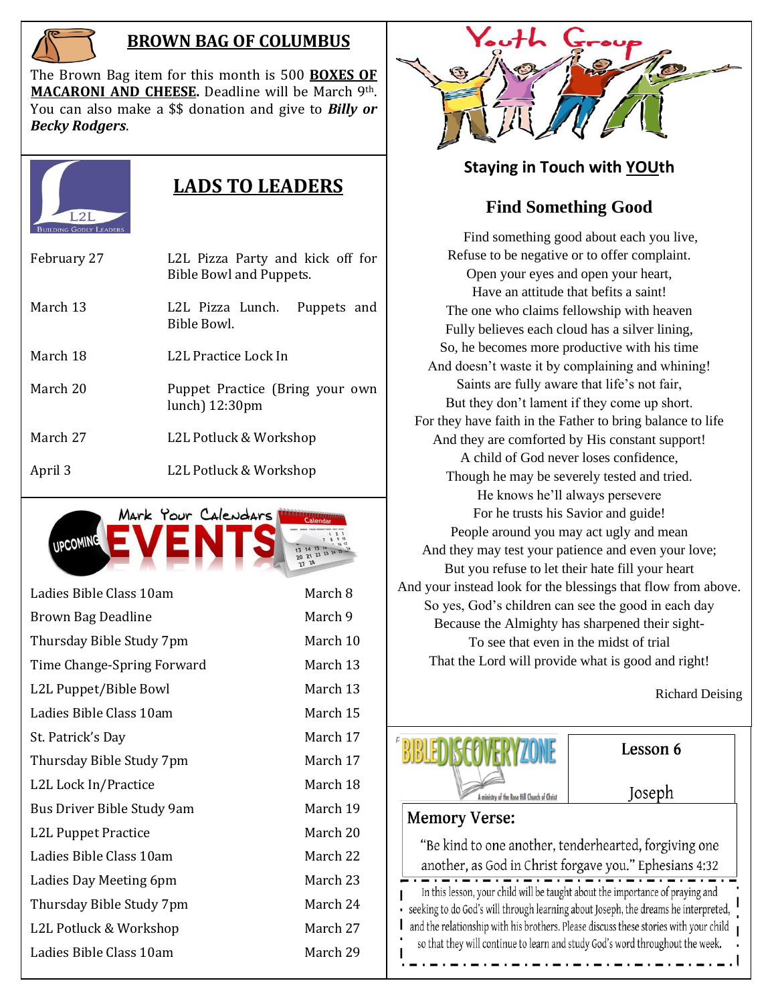

### **BROWN BAG OF COLUMBUS**

The Brown Bag item for this month is 500 **BOXES OF MACARONI AND CHEESE.** Deadline will be March 9th. You can also make a \$\$ donation and give to *Billy or Becky Rodgers*.



## **LADS TO LEADERS**

| February 27 | L2L Pizza Party and kick off for<br>Bible Bowl and Puppets. |
|-------------|-------------------------------------------------------------|
| March 13    | L2L Pizza Lunch.<br>Puppets and<br>Bible Bowl.              |
| March 18    | L2L Practice Lock In                                        |
| March 20    | Puppet Practice (Bring your own<br>$lunch$ ) 12:30 $pm$     |
| March 27    | L2L Potluck & Workshop                                      |
| April 3     | L2L Potluck & Workshop                                      |



| Ladies Bible Class 10am          | March 8  |
|----------------------------------|----------|
| Brown Bag Deadline               | March 9  |
| Thursday Bible Study 7pm         | March 10 |
| Time Change-Spring Forward       | March 13 |
| L2L Puppet/Bible Bowl            | March 13 |
| Ladies Bible Class 10am          | March 15 |
| St. Patrick's Day                | March 17 |
| Thursday Bible Study 7pm         | March 17 |
| L2L Lock In/Practice             | March 18 |
| Bus Driver Bible Study 9am       | March 19 |
| L <sub>2</sub> L Puppet Practice | March 20 |
| Ladies Bible Class 10am          | March 22 |
| Ladies Day Meeting 6pm           | March 23 |
| Thursday Bible Study 7pm         | March 24 |
| L2L Potluck & Workshop           | March 27 |
| Ladies Bible Class 10am          | March 29 |
|                                  |          |



### **Staying in Touch with YOUth**

### **Find Something Good**

Find something good about each you live, Refuse to be negative or to offer complaint. Open your eyes and open your heart, Have an attitude that befits a saint! The one who claims fellowship with heaven Fully believes each cloud has a silver lining, So, he becomes more productive with his time And doesn't waste it by complaining and whining! Saints are fully aware that life's not fair, But they don't lament if they come up short. For they have faith in the Father to bring balance to life And they are comforted by His constant support! A child of God never loses confidence, Though he may be severely tested and tried. He knows he'll always persevere For he trusts his Savior and guide! People around you may act ugly and mean And they may test your patience and even your love; But you refuse to let their hate fill your heart And your instead look for the blessings that flow from above. So yes, God's children can see the good in each day Because the Almighty has sharpened their sight-To see that even in the midst of trial That the Lord will provide what is good and right!

Richard Deising



Lesson 6

Joseph

### **Memory Verse:**

L

"Be kind to one another, tenderhearted, forgiving one another, as God in Christ forgave you." Ephesians 4:32 In this lesson, your child will be taught about the importance of praying and seeking to do God's will through learning about Joseph, the dreams he interpreted, and the relationship with his brothers. Please discuss these stories with your child so that they will continue to learn and study God's word throughout the week.